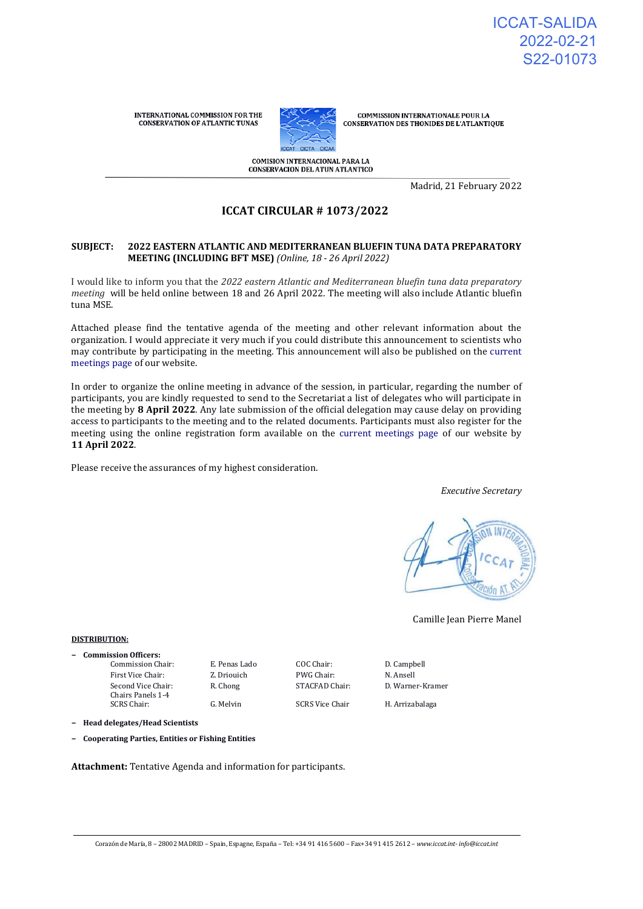**INTERNATIONAL COMMISSION FOR THE CONSERVATION OF ATLANTIC TUNAS** 



**COMMISSION INTERNATIONALE POUR LA** CONSERVATION DES THONIDES DE L'ATLANTIQUE

COMISION INTERNACIONAL PARA LA **CONSERVACION DEL ATUN ATLANTICO** 

Madrid, 21 February 2022

# **ICCAT CIRCULAR # 1073/2022**

#### **SUBJECT: 2022 EASTERN ATLANTIC AND MEDITERRANEAN BLUEFIN TUNA DATA PREPARATORY MEETING (INCLUDING BFT MSE)** *(Online, 18 - 26 April 2022)*

I would like to inform you that the *2022 eastern Atlantic and Mediterranean bluefin tuna data preparatory meeting* will be held online between 18 and 26 April 2022. The meeting will also include Atlantic bluefin tuna MSE.

Attached please find the tentative agenda of the meeting and other relevant information about the organization. I would appreciate it very much if you could distribute this announcement to scientists who may contribute by participating in the meeting. This announcement will also be published on the [current](https://www.iccat.int/en/Meetings.html)  [meetings page o](https://www.iccat.int/en/Meetings.html)f our website.

In order to organize the online meeting in advance of the session, in particular, regarding the number of participants, you are kindly requested to send to the Secretariat a list of delegates who will participate in the meeting by **8 April 2022**. Any late submission of the official delegation may cause delay on providing access to participants to the meeting and to the related documents. Participants must also register for the meeting using the online registration form available on the [current meetings page o](https://www.iccat.int/en/Meetings.html)f our website by **11 April 2022**.

Please receive the assurances of my highest consideration.

*Executive Secretary*



Camille Jean Pierre Manel

#### **DISTRIBUTION:**

**− Commission Officers:** Commission Chair: E. Penas Lado COC Chair: D. Campbell

Second Vice Chair: Chairs Panels 1-4<br>SCRS Chair:

First Vice Chair: Z. Driouich PWG Chair: N. Ansell R. Chong STACFAD Chair: D. Warner-Kramer

G. Melvin SCRS Vice Chair H. Arrizabalaga

**− Head delegates/Head Scientists**

**− Cooperating Parties, Entities or Fishing Entities**

**Attachment:** Tentative Agenda and information for participants.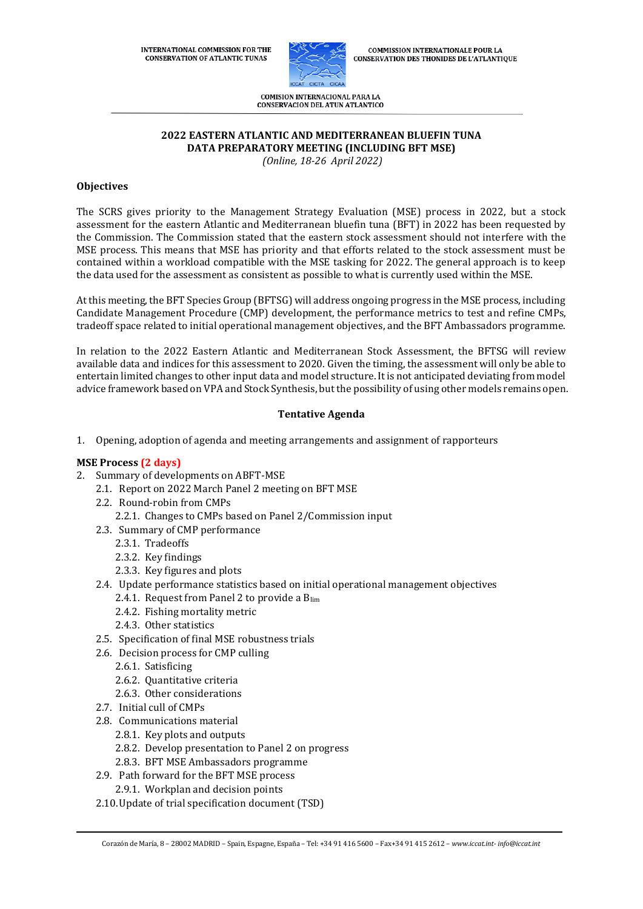**INTERNATIONAL COMMISSION FOR THE CONSERVATION OF ATLANTIC TUNAS** 



**COMMISSION INTERNATIONALE POUR LA CONSERVATION DES THONIDES DE L'ATLANTIQUE** 

COMISION INTERNACIONAL PARA LA **CONSERVACION DEL ATUN ATLANTICO** 

# **2022 EASTERN ATLANTIC AND MEDITERRANEAN BLUEFIN TUNA DATA PREPARATORY MEETING (INCLUDING BFT MSE)**

*(Online, 18-26 April 2022)*

# **Objectives**

The SCRS gives priority to the Management Strategy Evaluation (MSE) process in 2022, but a stock assessment for the eastern Atlantic and Mediterranean bluefin tuna (BFT) in 2022 has been requested by the Commission. The Commission stated that the eastern stock assessment should not interfere with the MSE process. This means that MSE has priority and that efforts related to the stock assessment must be contained within a workload compatible with the MSE tasking for 2022. The general approach is to keep the data used for the assessment as consistent as possible to what is currently used within the MSE.

At this meeting, the BFT Species Group (BFTSG) will address ongoing progress in the MSE process, including Candidate Management Procedure (CMP) development, the performance metrics to test and refine CMPs, tradeoff space related to initial operational management objectives, and the BFT Ambassadors programme.

In relation to the 2022 Eastern Atlantic and Mediterranean Stock Assessment, the BFTSG will review available data and indices for this assessment to 2020. Given the timing, the assessment will only be able to entertain limited changes to other input data and model structure. It is not anticipated deviating from model advice framework based on VPA and Stock Synthesis, but the possibility of using other models remains open.

# **Tentative Agenda**

1. Opening, adoption of agenda and meeting arrangements and assignment of rapporteurs

# **MSE Process (2 days)**

- 2. Summary of developments on ABFT-MSE
	- 2.1. Report on 2022 March Panel 2 meeting on BFT MSE
	- 2.2. Round-robin from CMPs
		- 2.2.1. Changes to CMPs based on Panel 2/Commission input
	- 2.3. Summary of CMP performance
		- 2.3.1. Tradeoffs
		- 2.3.2. Key findings
		- 2.3.3. Key figures and plots
	- 2.4. Update performance statistics based on initial operational management objectives
		- 2.4.1. Request from Panel 2 to provide a Blim
		- 2.4.2. Fishing mortality metric
		- 2.4.3. Other statistics
	- 2.5. Specification of final MSE robustness trials
	- 2.6. Decision process for CMP culling
		- 2.6.1. Satisficing
		- 2.6.2. Quantitative criteria
		- 2.6.3. Other considerations
	- 2.7. Initial cull of CMPs
	- 2.8. Communications material
		- 2.8.1. Key plots and outputs
		- 2.8.2. Develop presentation to Panel 2 on progress
		- 2.8.3. BFT MSE Ambassadors programme
	- 2.9. Path forward for the BFT MSE process
		- 2.9.1. Workplan and decision points
	- 2.10.Update of trial specification document (TSD)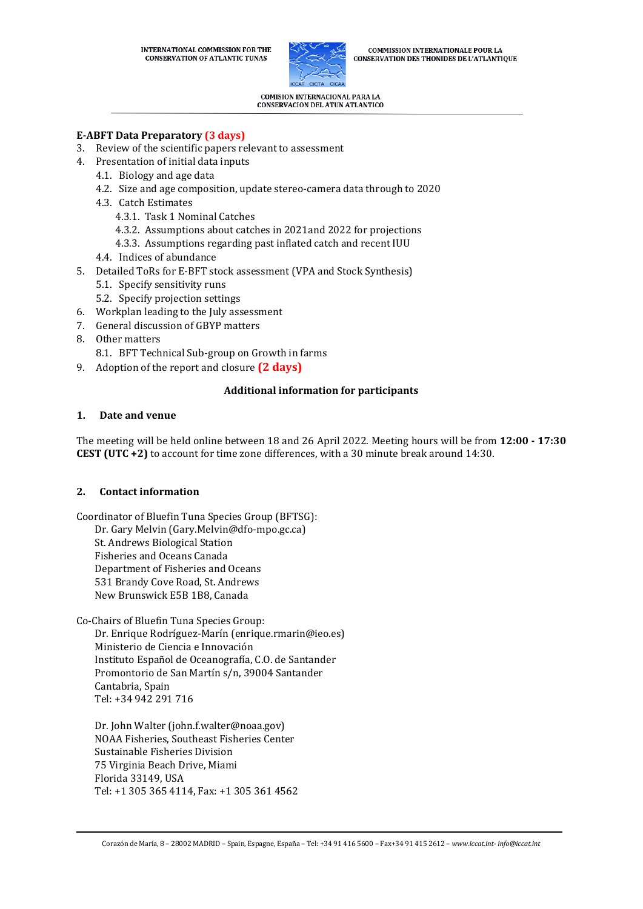

**COMMISSION INTERNATIONALE POUR LA CONSERVATION DES THONIDES DE L'ATLANTIQUE** 

COMISION INTERNACIONAL PARA LA **CONSERVACION DEL ATUN ATLANTICO** 

# **E-ABFT Data Preparatory (3 days)**

- 3. Review of the scientific papers relevant to assessment
- 4. Presentation of initial data inputs
	- 4.1. Biology and age data
	- 4.2. Size and age composition, update stereo-camera data through to 2020
	- 4.3. Catch Estimates
		- 4.3.1. Task 1 Nominal Catches
		- 4.3.2. Assumptions about catches in 2021and 2022 for projections
		- 4.3.3. Assumptions regarding past inflated catch and recent IUU
	- 4.4. Indices of abundance
- 5. Detailed ToRs for E-BFT stock assessment (VPA and Stock Synthesis)
	- 5.1. Specify sensitivity runs
	- 5.2. Specify projection settings
- 6. Workplan leading to the July assessment
- 7. General discussion of GBYP matters
- 8. Other matters
	- 8.1. BFT Technical Sub-group on Growth in farms
- 9. Adoption of the report and closure **(2 days)**

### **Additional information for participants**

### **1. Date and venue**

The meeting will be held online between 18 and 26 April 2022. Meeting hours will be from **12:00 - 17:30 CEST (UTC +2)** to account for time zone differences, with a 30 minute break around 14:30.

# **2. Contact information**

Coordinator of Bluefin Tuna Species Group (BFTSG):

Dr. Gary Melvin (Gary.Melvin@dfo-mpo.gc.ca) St. Andrews Biological Station

Fisheries and Oceans Canada Department of Fisheries and Oceans

531 Brandy Cove Road, St. Andrews

New Brunswick E5B 1B8, Canada

Co-Chairs of Bluefin Tuna Species Group: Dr. Enrique Rodríguez-Marín (enrique.rmarin@ieo.es) Ministerio de Ciencia e Innovación Instituto Español de Oceanografía, C.O. de Santander Promontorio de San Martín s/n, 39004 Santander Cantabria, Spain Tel: +34 942 291 716

Dr. John Walter (john.f.walter@noaa.gov) NOAA Fisheries, Southeast Fisheries Center Sustainable Fisheries Division 75 Virginia Beach Drive, Miami Florida 33149, USA Tel: +1 305 365 4114, Fax: +1 305 361 4562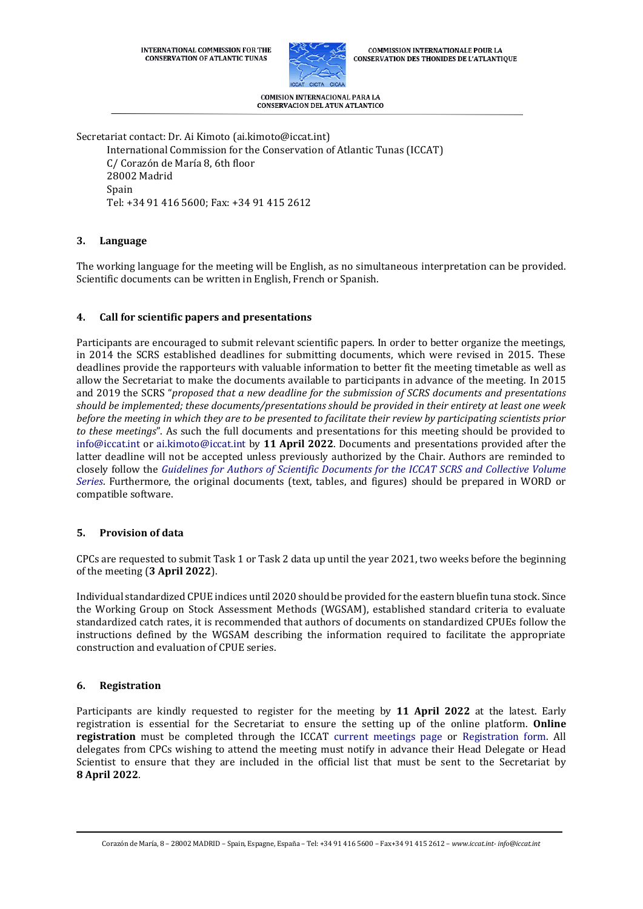

**COMMISSION INTERNATIONALE POUR LA CONSERVATION DES THONIDES DE L'ATLANTIQUE** 

COMISION INTERNACIONAL PARA LA **CONSERVACION DEL ATUN ATLANTICO** 

Secretariat contact: Dr. Ai Kimoto (ai.kimoto@iccat.int)

International Commission for the Conservation of Atlantic Tunas (ICCAT) C/ Corazón de María 8, 6th floor 28002 Madrid Spain Tel: +34 91 416 5600; Fax: +34 91 415 2612

# **3. Language**

The working language for the meeting will be English, as no simultaneous interpretation can be provided. Scientific documents can be written in English, French or Spanish.

# **4. Call for scientific papers and presentations**

Participants are encouraged to submit relevant scientific papers. In order to better organize the meetings, in 2014 the SCRS established deadlines for submitting documents, which were revised in 2015. These deadlines provide the rapporteurs with valuable information to better fit the meeting timetable as well as allow the Secretariat to make the documents available to participants in advance of the meeting. In 2015 and 2019 the SCRS "*proposed that a new deadline for the submission of SCRS documents and presentations should be implemented; these documents/presentations should be provided in their entirety at least one week before the meeting in which they are to be presented to facilitate their review by participating scientists prior to these meetings*". As such the full documents and presentations for this meeting should be provided to [info@iccat.int](mailto:info@iccat.int) or [ai.kimoto@iccat.int](mailto:ai.kimoto@iccat.int) by **11 April 2022**. Documents and presentations provided after the latter deadline will not be accepted unless previously authorized by the Chair. Authors are reminded to closely follow the *[Guidelines for Authors of Scientific Documents for the ICCAT SCRS and Collective Volume](https://www.iccat.int/Documents/SCRS/Other/Guide_ColVol_ENG.pdf)  [Series](https://www.iccat.int/Documents/SCRS/Other/Guide_ColVol_ENG.pdf)*. Furthermore, the original documents (text, tables, and figures) should be prepared in WORD or compatible software.

### **5. Provision of data**

CPCs are requested to submit Task 1 or Task 2 data up until the year 2021, two weeks before the beginning of the meeting (**3 April 2022**).

Individual standardized CPUE indices until 2020 should be provided for the eastern bluefin tuna stock. Since the Working Group on Stock Assessment Methods (WGSAM), established standard criteria to evaluate standardized catch rates, it is recommended that authors of documents on standardized CPUEs follow the instructions defined by the WGSAM describing the information required to facilitate the appropriate construction and evaluation of CPUE series.

### **6. Registration**

Participants are kindly requested to register for the meeting by **11 April 2022** at the latest. Early registration is essential for the Secretariat to ensure the setting up of the online platform. **Online registration** must be completed through the ICCAT [current meetings page](https://www.iccat.int/en/Meetings.html) or [Registration form.](https://www.iccat.int/en/formmeet.html) All delegates from CPCs wishing to attend the meeting must notify in advance their Head Delegate or Head Scientist to ensure that they are included in the official list that must be sent to the Secretariat by **8 April 2022**.